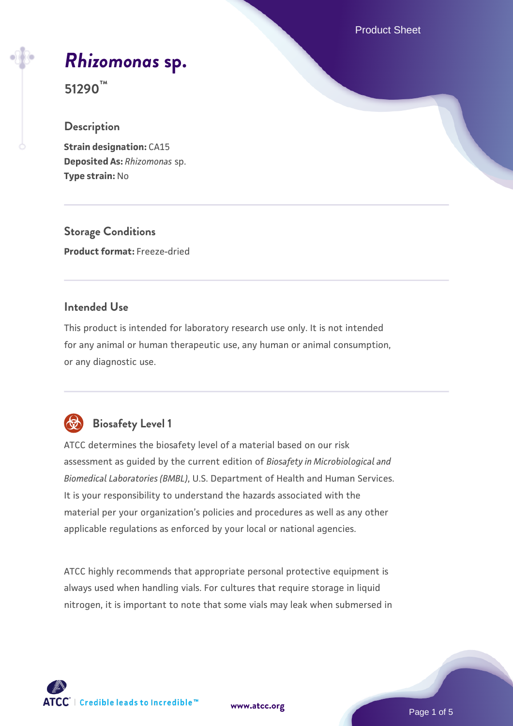Product Sheet

# *[Rhizomonas](https://www.atcc.org/products/51290)* **[sp.](https://www.atcc.org/products/51290)**

**51290™**

#### **Description**

**Strain designation: CA15 Deposited As:** *Rhizomonas* sp. **Type strain:** No

**Storage Conditions Product format:** Freeze-dried

#### **Intended Use**

This product is intended for laboratory research use only. It is not intended for any animal or human therapeutic use, any human or animal consumption, or any diagnostic use.



# **Biosafety Level 1**

ATCC determines the biosafety level of a material based on our risk assessment as guided by the current edition of *Biosafety in Microbiological and Biomedical Laboratories (BMBL)*, U.S. Department of Health and Human Services. It is your responsibility to understand the hazards associated with the material per your organization's policies and procedures as well as any other applicable regulations as enforced by your local or national agencies.

ATCC highly recommends that appropriate personal protective equipment is always used when handling vials. For cultures that require storage in liquid nitrogen, it is important to note that some vials may leak when submersed in

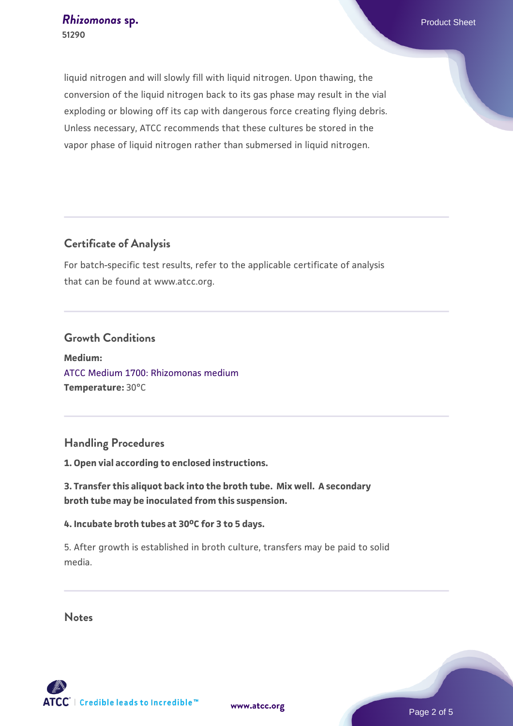liquid nitrogen and will slowly fill with liquid nitrogen. Upon thawing, the conversion of the liquid nitrogen back to its gas phase may result in the vial exploding or blowing off its cap with dangerous force creating flying debris. Unless necessary, ATCC recommends that these cultures be stored in the vapor phase of liquid nitrogen rather than submersed in liquid nitrogen.

### **Certificate of Analysis**

For batch-specific test results, refer to the applicable certificate of analysis that can be found at www.atcc.org.

#### **Growth Conditions**

**Medium:**  [ATCC Medium 1700: Rhizomonas medium](https://www.atcc.org/-/media/product-assets/documents/microbial-media-formulations/atcc-medium-1700.pdf?rev=10cdf9df561a498196688eb5e66a9440) **Temperature:** 30°C

### **Handling Procedures**

**1. Open vial according to enclosed instructions.**

**3. Transfer this aliquot back into the broth tube. Mix well. A secondary broth tube may be inoculated from this suspension.**

#### **4. Incubate broth tubes at 30oC for 3 to 5 days.**

5. After growth is established in broth culture, transfers may be paid to solid media.

#### **Notes**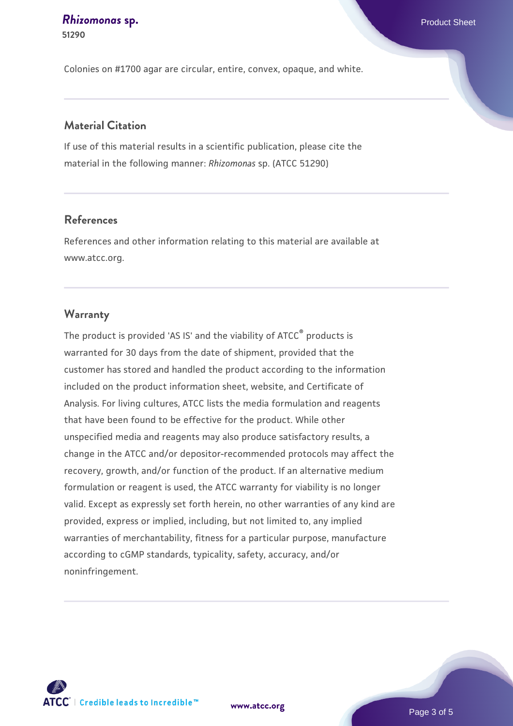#### **[Rhizomonas](https://www.atcc.org/products/51290) [sp.](https://www.atcc.org/products/51290)** Product Sheet **51290**

Colonies on #1700 agar are circular, entire, convex, opaque, and white.

#### **Material Citation**

If use of this material results in a scientific publication, please cite the material in the following manner: *Rhizomonas* sp. (ATCC 51290)

#### **References**

References and other information relating to this material are available at www.atcc.org.

#### **Warranty**

The product is provided 'AS IS' and the viability of ATCC® products is warranted for 30 days from the date of shipment, provided that the customer has stored and handled the product according to the information included on the product information sheet, website, and Certificate of Analysis. For living cultures, ATCC lists the media formulation and reagents that have been found to be effective for the product. While other unspecified media and reagents may also produce satisfactory results, a change in the ATCC and/or depositor-recommended protocols may affect the recovery, growth, and/or function of the product. If an alternative medium formulation or reagent is used, the ATCC warranty for viability is no longer valid. Except as expressly set forth herein, no other warranties of any kind are provided, express or implied, including, but not limited to, any implied warranties of merchantability, fitness for a particular purpose, manufacture according to cGMP standards, typicality, safety, accuracy, and/or noninfringement.



**[www.atcc.org](http://www.atcc.org)**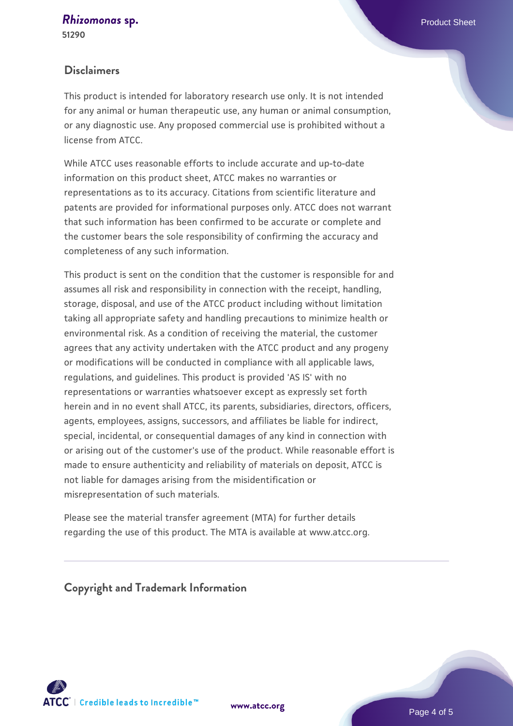### *[Rhizomonas](https://www.atcc.org/products/51290)* **[sp.](https://www.atcc.org/products/51290)** Product Sheet

**51290**

#### **Disclaimers**

This product is intended for laboratory research use only. It is not intended for any animal or human therapeutic use, any human or animal consumption, or any diagnostic use. Any proposed commercial use is prohibited without a license from ATCC.

While ATCC uses reasonable efforts to include accurate and up-to-date information on this product sheet, ATCC makes no warranties or representations as to its accuracy. Citations from scientific literature and patents are provided for informational purposes only. ATCC does not warrant that such information has been confirmed to be accurate or complete and the customer bears the sole responsibility of confirming the accuracy and completeness of any such information.

This product is sent on the condition that the customer is responsible for and assumes all risk and responsibility in connection with the receipt, handling, storage, disposal, and use of the ATCC product including without limitation taking all appropriate safety and handling precautions to minimize health or environmental risk. As a condition of receiving the material, the customer agrees that any activity undertaken with the ATCC product and any progeny or modifications will be conducted in compliance with all applicable laws, regulations, and guidelines. This product is provided 'AS IS' with no representations or warranties whatsoever except as expressly set forth herein and in no event shall ATCC, its parents, subsidiaries, directors, officers, agents, employees, assigns, successors, and affiliates be liable for indirect, special, incidental, or consequential damages of any kind in connection with or arising out of the customer's use of the product. While reasonable effort is made to ensure authenticity and reliability of materials on deposit, ATCC is not liable for damages arising from the misidentification or misrepresentation of such materials.

Please see the material transfer agreement (MTA) for further details regarding the use of this product. The MTA is available at www.atcc.org.

**Copyright and Trademark Information**